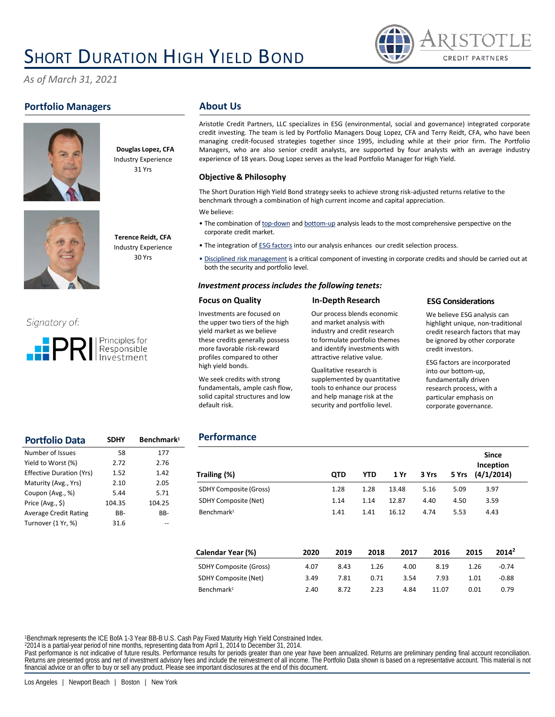# **SHORT DURATION HIGH YIELD BOND**



*As of March 31, 2021*

# **Portfolio Managers**





**Terence Reidt, CFA** Industry Experience 30 Yrs







## **About Us**

Aristotle Credit Partners, LLC specializes in ESG (environmental, social and governance) integrated corporate credit investing. The team is led by Portfolio Managers Doug Lopez, CFA and Terry Reidt, CFA, who have been managing credit‐focused strategies together since 1995, including while at their prior firm. The Portfolio Managers, who are also senior credit analysts, are supported by four analysts with an average industry experience of 18 years. Doug Lopez serves as the lead Portfolio Manager for High Yield.

### **Objective & Philosophy**

The Short Duration High Yield Bond strategy seeks to achieve strong risk-adjusted returns relative to the benchmark through a combination of high current income and capital appreciation.

We believe:

- The combination of top-down and bottom-up analysis leads to the most comprehensive perspective on the corporate credit market.
- The integration of ESG factors into our analysis enhances our credit selection process.
- Disciplined risk management is a critical component of investing in corporate credits and should be carried out at both the security and portfolio level.

### *Investment process includes the following tenets:*

#### **Focus on Quality**

Investments are focused on the upper two tiers of the high yield market as we believe these credits generally possess more favorable risk-reward profiles compared to other high yield bonds.

We seek credits with strong fundamentals, ample cash flow, solid capital structures and low

default risk.

**Performance**

#### Our process blends economic and market analysis with industry and credit research to formulate portfolio themes and identify investments with attractive relative value.

**In-Depth Research**

Qualitative research is supplemented by quantitative tools to enhance our process and help manage risk at the security and portfolio level.

#### **ESG Considerations**

We believe ESG analysis can highlight unique, non-traditional credit research factors that may be ignored by other corporate credit investors.

ESG factors are incorporated into our bottom-up, fundamentally driven research process, with a particular emphasis on corporate governance.

| <b>Portfolio Data</b>           | <b>SDHY</b> | Benchmark <sup>1</sup> |
|---------------------------------|-------------|------------------------|
| Number of Issues                | 58          | 177                    |
| Yield to Worst (%)              | 2.72        | 2.76                   |
| <b>Effective Duration (Yrs)</b> | 1.52        | 1.42                   |
| Maturity (Avg., Yrs)            | 2.10        | 2.05                   |
| Coupon (Avg., %)                | 5.44        | 5.71                   |
| Price (Avg., \$)                | 104.35      | 104.25                 |
| <b>Average Credit Rating</b>    | BB-         | BB-                    |
| Turnover (1 Yr, %)              | 31.6        |                        |

| Trailing (%)                  | <b>QTD</b> | YTD. | 1 Yr  | 3 Yrs | 5 Yrs | <b>Since</b><br>Inception<br>(4/1/2014) |  |
|-------------------------------|------------|------|-------|-------|-------|-----------------------------------------|--|
| <b>SDHY Composite (Gross)</b> | 1.28       | 1.28 | 13.48 | 5.16  | 5.09  | 3.97                                    |  |
| <b>SDHY Composite (Net)</b>   | 1.14       | 1.14 | 12.87 | 4.40  | 4.50  | 3.59                                    |  |
| Benchmark <sup>1</sup>        | 1.41       | 1.41 | 16.12 | 4.74  | 5.53  | 4.43                                    |  |

| Calendar Year (%)             | 2020 | 2019 | 2018 | 2017 | 2016  | 2015 | $2014^2$ |  |
|-------------------------------|------|------|------|------|-------|------|----------|--|
| <b>SDHY Composite (Gross)</b> | 4.07 | 8.43 | 1.26 | 4.00 | 8.19  | 1.26 | $-0.74$  |  |
| SDHY Composite (Net)          | 3.49 | 7.81 | 0.71 | 3.54 | 7.93  | 1.01 | $-0.88$  |  |
| Benchmark <sup>1</sup>        | 2.40 | 8.72 | 2.23 | 4.84 | 11.07 | 0.01 | 0.79     |  |

<sup>1</sup>Benchmark represents the ICE BofA 1-3 Year BB-B U.S. Cash Pay Fixed Maturity High Yield Constrained Index.

<sup>2</sup>2014 is a partial-year period of nine months, representing data from April 1, 2014 to December 31, 2014.

Past performance is not indicative of future results. Performance results for periods greater than one year have been annualized. Returns are preliminary pending final account reconciliation. Returns are presented gross and net of investment advisory fees and include the reinvestment of all income. The Portfolio Data shown is based on a representative account. This material is not<br>financial advice or an offer t